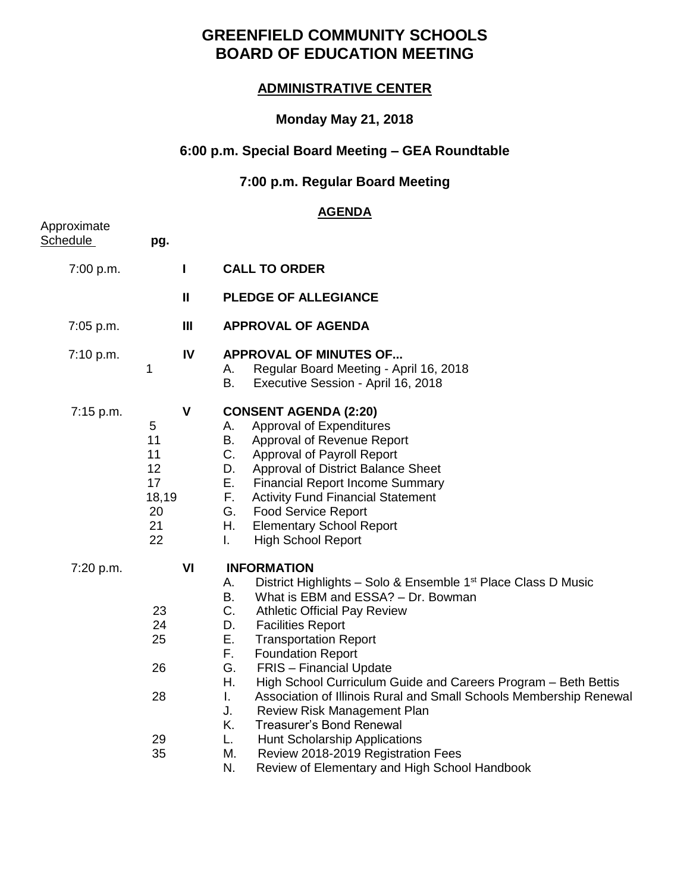# **GREENFIELD COMMUNITY SCHOOLS BOARD OF EDUCATION MEETING**

### **ADMINISTRATIVE CENTER**

### **Monday May 21, 2018**

## **6:00 p.m. Special Board Meeting – GEA Roundtable**

## **7:00 p.m. Regular Board Meeting**

### **AGENDA**

| pg.                                                  |                   |                                                                                                                                                                                                                                                                                                                                                                                                                                                                                                                                                                                                                                                                                                                              |
|------------------------------------------------------|-------------------|------------------------------------------------------------------------------------------------------------------------------------------------------------------------------------------------------------------------------------------------------------------------------------------------------------------------------------------------------------------------------------------------------------------------------------------------------------------------------------------------------------------------------------------------------------------------------------------------------------------------------------------------------------------------------------------------------------------------------|
|                                                      | L                 | <b>CALL TO ORDER</b>                                                                                                                                                                                                                                                                                                                                                                                                                                                                                                                                                                                                                                                                                                         |
|                                                      | $\pmb{\parallel}$ | <b>PLEDGE OF ALLEGIANCE</b>                                                                                                                                                                                                                                                                                                                                                                                                                                                                                                                                                                                                                                                                                                  |
|                                                      | $\mathbf{III}$    | <b>APPROVAL OF AGENDA</b>                                                                                                                                                                                                                                                                                                                                                                                                                                                                                                                                                                                                                                                                                                    |
| 1                                                    | IV                | <b>APPROVAL OF MINUTES OF</b><br>Regular Board Meeting - April 16, 2018<br>А.<br>В.<br>Executive Session - April 16, 2018                                                                                                                                                                                                                                                                                                                                                                                                                                                                                                                                                                                                    |
| 5<br>11<br>11<br>12<br>17<br>18,19<br>20<br>21<br>22 | $\mathbf v$       | <b>CONSENT AGENDA (2:20)</b><br>Approval of Expenditures<br>А.<br>Approval of Revenue Report<br>В.<br>C.<br>Approval of Payroll Report<br>D.<br>Approval of District Balance Sheet<br>Е.<br><b>Financial Report Income Summary</b><br>F.<br><b>Activity Fund Financial Statement</b><br>G.<br><b>Food Service Report</b><br>Η.<br><b>Elementary School Report</b><br>L.<br><b>High School Report</b>                                                                                                                                                                                                                                                                                                                         |
| 23<br>24<br>25<br>26<br>28<br>29<br>35               | VI                | <b>INFORMATION</b><br>District Highlights - Solo & Ensemble 1 <sup>st</sup> Place Class D Music<br>А.<br>В.<br>What is EBM and ESSA? - Dr. Bowman<br>C.<br><b>Athletic Official Pay Review</b><br>D.<br><b>Facilities Report</b><br>Е.<br><b>Transportation Report</b><br>F.<br><b>Foundation Report</b><br>G.<br><b>FRIS</b> - Financial Update<br>Η.<br>High School Curriculum Guide and Careers Program - Beth Bettis<br>L.<br>Association of Illinois Rural and Small Schools Membership Renewal<br>J.<br>Review Risk Management Plan<br>Κ.<br><b>Treasurer's Bond Renewal</b><br>L.<br>Hunt Scholarship Applications<br>М.<br>Review 2018-2019 Registration Fees<br>N.<br>Review of Elementary and High School Handbook |
|                                                      |                   |                                                                                                                                                                                                                                                                                                                                                                                                                                                                                                                                                                                                                                                                                                                              |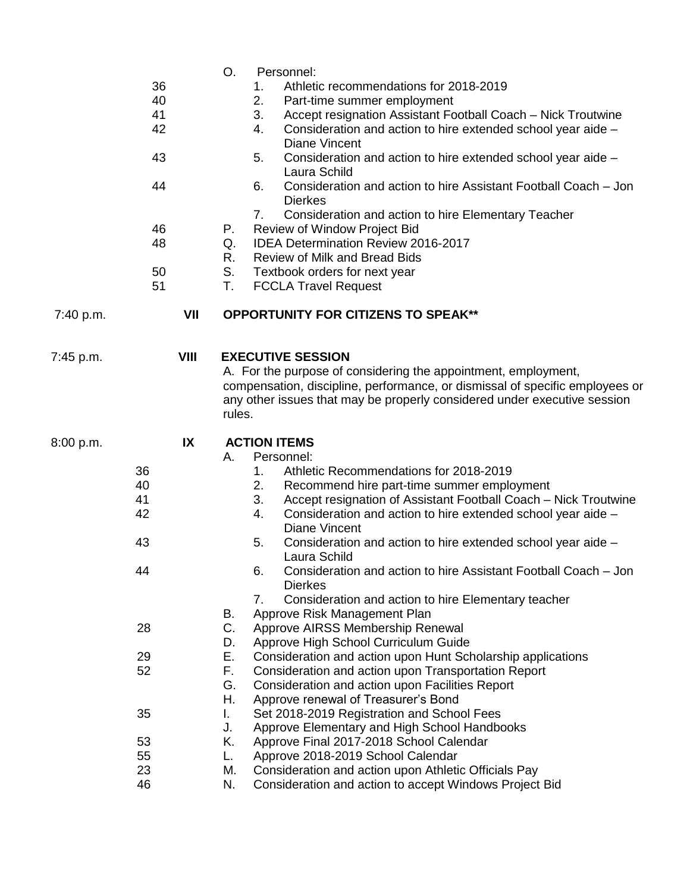|           |             | O.<br>Personnel:                                                                                                           |  |
|-----------|-------------|----------------------------------------------------------------------------------------------------------------------------|--|
|           | 36          | Athletic recommendations for 2018-2019<br>1.                                                                               |  |
|           | 40          | 2.<br>Part-time summer employment                                                                                          |  |
|           | 41          | 3.<br>Accept resignation Assistant Football Coach - Nick Troutwine                                                         |  |
|           | 42          | Consideration and action to hire extended school year aide -<br>4.<br><b>Diane Vincent</b>                                 |  |
|           | 43          | Consideration and action to hire extended school year aide -<br>5.<br>Laura Schild                                         |  |
|           | 44          | Consideration and action to hire Assistant Football Coach - Jon<br>6.                                                      |  |
|           |             | <b>Dierkes</b><br>Consideration and action to hire Elementary Teacher<br>7.                                                |  |
|           | 46          | Review of Window Project Bid<br>Р.                                                                                         |  |
|           | 48          | <b>IDEA Determination Review 2016-2017</b><br>Q.                                                                           |  |
|           |             | Review of Milk and Bread Bids<br>R.                                                                                        |  |
|           | 50          | S.<br>Textbook orders for next year                                                                                        |  |
|           | 51          | Т.<br><b>FCCLA Travel Request</b>                                                                                          |  |
| 7:40 p.m. | VII         | <b>OPPORTUNITY FOR CITIZENS TO SPEAK**</b>                                                                                 |  |
| 7:45 p.m. | <b>VIII</b> | <b>EXECUTIVE SESSION</b>                                                                                                   |  |
|           |             | A. For the purpose of considering the appointment, employment,                                                             |  |
|           |             | compensation, discipline, performance, or dismissal of specific employees or                                               |  |
|           |             | any other issues that may be properly considered under executive session                                                   |  |
|           |             | rules.                                                                                                                     |  |
|           |             |                                                                                                                            |  |
|           |             |                                                                                                                            |  |
| 8:00 p.m. | IX          | <b>ACTION ITEMS</b>                                                                                                        |  |
|           |             | А.<br>Personnel:                                                                                                           |  |
| 36        |             | Athletic Recommendations for 2018-2019<br>1.                                                                               |  |
| 40        |             | Recommend hire part-time summer employment<br>2.                                                                           |  |
| 41        |             | 3.<br>Accept resignation of Assistant Football Coach - Nick Troutwine                                                      |  |
| 42        |             | Consideration and action to hire extended school year aide -<br>4.                                                         |  |
|           |             | <b>Diane Vincent</b>                                                                                                       |  |
| 43        |             | 5.<br>Consideration and action to hire extended school year aide -<br>Laura Schild                                         |  |
| 44        |             | Consideration and action to hire Assistant Football Coach – Jon<br>6.<br><b>Dierkes</b>                                    |  |
|           |             | 7.                                                                                                                         |  |
|           |             | Consideration and action to hire Elementary teacher<br>В.<br>Approve Risk Management Plan                                  |  |
|           | 28          | C.<br>Approve AIRSS Membership Renewal                                                                                     |  |
|           |             | Approve High School Curriculum Guide<br>D.                                                                                 |  |
|           | 29          | Е.<br>Consideration and action upon Hunt Scholarship applications                                                          |  |
|           | 52          | F.<br>Consideration and action upon Transportation Report                                                                  |  |
|           |             | G.<br>Consideration and action upon Facilities Report                                                                      |  |
|           |             | Η.<br>Approve renewal of Treasurer's Bond                                                                                  |  |
|           | 35          | Set 2018-2019 Registration and School Fees<br>L.                                                                           |  |
|           |             | J.<br>Approve Elementary and High School Handbooks                                                                         |  |
|           | 53          | Κ.<br>Approve Final 2017-2018 School Calendar                                                                              |  |
|           | 55          | Approve 2018-2019 School Calendar<br>L.                                                                                    |  |
|           | 23<br>46    | Consideration and action upon Athletic Officials Pay<br>М.<br>N.<br>Consideration and action to accept Windows Project Bid |  |